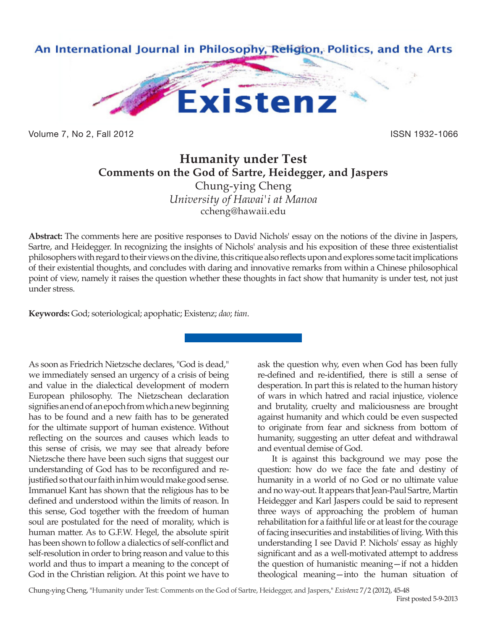

Volume 7, No 2, Fall 2012 **ISSN 1932-1066** 

## **Humanity under Test Comments on the God of Sartre, Heidegger, and Jaspers**

Chung-ying Cheng *University of Hawai'i at Manoa* ccheng@hawaii.edu

**Abstract:** The comments here are positive responses to David Nichols' essay on the notions of the divine in Jaspers, Sartre, and Heidegger. In recognizing the insights of Nichols' analysis and his exposition of these three existentialist philosophers with regard to their views on the divine, this critique also reflects upon and explores some tacit implications of their existential thoughts, and concludes with daring and innovative remarks from within a Chinese philosophical point of view, namely it raises the question whether these thoughts in fact show that humanity is under test, not just under stress.

**Keywords:** God; soteriological; apophatic; Existenz; *dao*; *tian*.

As soon as Friedrich Nietzsche declares, "God is dead," we immediately sensed an urgency of a crisis of being and value in the dialectical development of modern European philosophy. The Nietzschean declaration signifies an end of an epoch from which a new beginning has to be found and a new faith has to be generated for the ultimate support of human existence. Without reflecting on the sources and causes which leads to this sense of crisis, we may see that already before Nietzsche there have been such signs that suggest our understanding of God has to be reconfigured and rejustified so that our faith in him would make good sense. Immanuel Kant has shown that the religious has to be defined and understood within the limits of reason. In this sense, God together with the freedom of human soul are postulated for the need of morality, which is human matter. As to G.F.W. Hegel, the absolute spirit has been shown to follow a dialectics of self-conflict and self-resolution in order to bring reason and value to this world and thus to impart a meaning to the concept of God in the Christian religion. At this point we have to

ask the question why, even when God has been fully re-defined and re-identified, there is still a sense of desperation. In part this is related to the human history of wars in which hatred and racial injustice, violence and brutality, cruelty and maliciousness are brought against humanity and which could be even suspected to originate from fear and sickness from bottom of humanity, suggesting an utter defeat and withdrawal and eventual demise of God.

It is against this background we may pose the question: how do we face the fate and destiny of humanity in a world of no God or no ultimate value and no way-out. It appears that Jean-Paul Sartre, Martin Heidegger and Karl Jaspers could be said to represent three ways of approaching the problem of human rehabilitation for a faithful life or at least for the courage of facing insecurities and instabilities of living. With this understanding I see David P. Nichols' essay as highly significant and as a well-motivated attempt to address the question of humanistic meaning—if not a hidden theological meaning—into the human situation of

Chung-ying Cheng, "Humanity under Test: Comments on the God of Sartre, Heidegger, and Jaspers," *Existenz* 7/2 (2012), 45-48 First posted 5-9-2013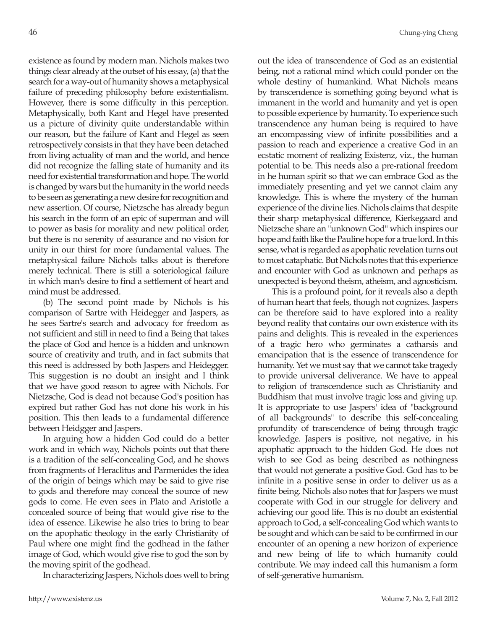existence as found by modern man. Nichols makes two things clear already at the outset of his essay, (a) that the search for a way-out of humanity shows a metaphysical failure of preceding philosophy before existentialism. However, there is some difficulty in this perception. Metaphysically, both Kant and Hegel have presented us a picture of divinity quite understandable within our reason, but the failure of Kant and Hegel as seen retrospectively consists in that they have been detached from living actuality of man and the world, and hence did not recognize the falling state of humanity and its need for existential transformation and hope. The world is changed by wars but the humanity in the world needs to be seen as generating a new desire for recognition and new assertion. Of course, Nietzsche has already begun his search in the form of an epic of superman and will to power as basis for morality and new political order, but there is no serenity of assurance and no vision for unity in our thirst for more fundamental values. The metaphysical failure Nichols talks about is therefore merely technical. There is still a soteriological failure in which man's desire to find a settlement of heart and mind must be addressed.

(b) The second point made by Nichols is his comparison of Sartre with Heidegger and Jaspers, as he sees Sartre's search and advocacy for freedom as not sufficient and still in need to find a Being that takes the place of God and hence is a hidden and unknown source of creativity and truth, and in fact submits that this need is addressed by both Jaspers and Heidegger. This suggestion is no doubt an insight and I think that we have good reason to agree with Nichols. For Nietzsche, God is dead not because God's position has expired but rather God has not done his work in his position. This then leads to a fundamental difference between Heidgger and Jaspers.

In arguing how a hidden God could do a better work and in which way, Nichols points out that there is a tradition of the self-concealing God, and he shows from fragments of Heraclitus and Parmenides the idea of the origin of beings which may be said to give rise to gods and therefore may conceal the source of new gods to come. He even sees in Plato and Aristotle a concealed source of being that would give rise to the idea of essence. Likewise he also tries to bring to bear on the apophatic theology in the early Christianity of Paul where one might find the godhead in the father image of God, which would give rise to god the son by the moving spirit of the godhead.

In characterizing Jaspers, Nichols does well to bring

out the idea of transcendence of God as an existential being, not a rational mind which could ponder on the whole destiny of humankind. What Nichols means by transcendence is something going beyond what is immanent in the world and humanity and yet is open to possible experience by humanity. To experience such transcendence any human being is required to have an encompassing view of infinite possibilities and a passion to reach and experience a creative God in an ecstatic moment of realizing Existenz, viz., the human potential to be. This needs also a pre-rational freedom in he human spirit so that we can embrace God as the immediately presenting and yet we cannot claim any knowledge. This is where the mystery of the human experience of the divine lies. Nichols claims that despite their sharp metaphysical difference, Kierkegaard and Nietzsche share an "unknown God" which inspires our hope and faith like the Pauline hope for a true lord. In this sense, what is regarded as apophatic revelation turns out to most cataphatic. But Nichols notes that this experience and encounter with God as unknown and perhaps as unexpected is beyond theism, atheism, and agnosticism.

This is a profound point, for it reveals also a depth of human heart that feels, though not cognizes. Jaspers can be therefore said to have explored into a reality beyond reality that contains our own existence with its pains and delights. This is revealed in the experiences of a tragic hero who germinates a catharsis and emancipation that is the essence of transcendence for humanity. Yet we must say that we cannot take tragedy to provide universal deliverance. We have to appeal to religion of transcendence such as Christianity and Buddhism that must involve tragic loss and giving up. It is appropriate to use Jaspers' idea of "background of all backgrounds" to describe this self-concealing profundity of transcendence of being through tragic knowledge. Jaspers is positive, not negative, in his apophatic approach to the hidden God. He does not wish to see God as being described as nothingness that would not generate a positive God. God has to be infinite in a positive sense in order to deliver us as a finite being. Nichols also notes that for Jaspers we must cooperate with God in our struggle for delivery and achieving our good life. This is no doubt an existential approach to God, a self-concealing God which wants to be sought and which can be said to be confirmed in our encounter of an opening a new horizon of experience and new being of life to which humanity could contribute. We may indeed call this humanism a form of self-generative humanism.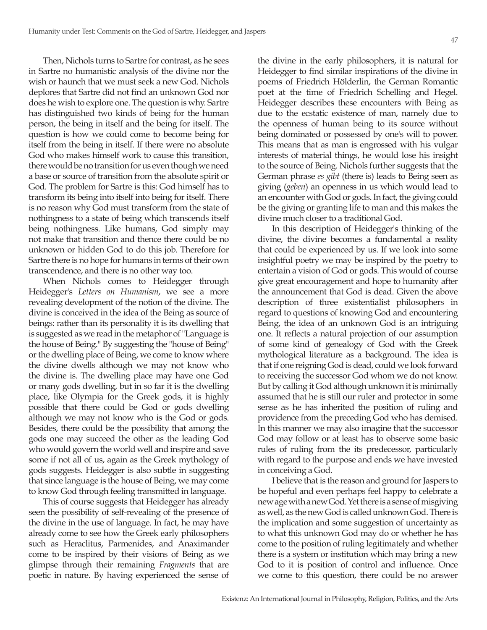Then, Nichols turns to Sartre for contrast, as he sees in Sartre no humanistic analysis of the divine nor the wish or haunch that we must seek a new God. Nichols deplores that Sartre did not find an unknown God nor does he wish to explore one. The question is why. Sartre has distinguished two kinds of being for the human person, the being in itself and the being for itself. The question is how we could come to become being for itself from the being in itself. If there were no absolute God who makes himself work to cause this transition, there would be no transition for us even though we need a base or source of transition from the absolute spirit or God. The problem for Sartre is this: God himself has to transform its being into itself into being for itself. There is no reason why God must transform from the state of nothingness to a state of being which transcends itself being nothingness. Like humans, God simply may not make that transition and thence there could be no unknown or hidden God to do this job. Therefore for Sartre there is no hope for humans in terms of their own transcendence, and there is no other way too.

When Nichols comes to Heidegger through Heidegger's *Letters on Humanism*, we see a more revealing development of the notion of the divine. The divine is conceived in the idea of the Being as source of beings: rather than its personality it is its dwelling that is suggested as we read in the metaphor of "Language is the house of Being." By suggesting the "house of Being" or the dwelling place of Being, we come to know where the divine dwells although we may not know who the divine is. The dwelling place may have one God or many gods dwelling, but in so far it is the dwelling place, like Olympia for the Greek gods, it is highly possible that there could be God or gods dwelling although we may not know who is the God or gods. Besides, there could be the possibility that among the gods one may succeed the other as the leading God who would govern the world well and inspire and save some if not all of us, again as the Greek mythology of gods suggests. Heidegger is also subtle in suggesting that since language is the house of Being, we may come to know God through feeling transmitted in language.

This of course suggests that Heidegger has already seen the possibility of self-revealing of the presence of the divine in the use of language. In fact, he may have already come to see how the Greek early philosophers such as Heraclitus, Parmenides, and Anaximander come to be inspired by their visions of Being as we glimpse through their remaining *Fragments* that are poetic in nature. By having experienced the sense of the divine in the early philosophers, it is natural for Heidegger to find similar inspirations of the divine in poems of Friedrich Hölderlin, the German Romantic poet at the time of Friedrich Schelling and Hegel. Heidegger describes these encounters with Being as due to the ecstatic existence of man, namely due to the openness of human being to its source without being dominated or possessed by one's will to power. This means that as man is engrossed with his vulgar interests of material things, he would lose his insight to the source of Being. Nichols further suggests that the German phrase *es gibt* (there is) leads to Being seen as giving (*geben*) an openness in us which would lead to an encounter with God or gods. In fact, the giving could be the giving or granting life to man and this makes the divine much closer to a traditional God.

In this description of Heidegger's thinking of the divine, the divine becomes a fundamental a reality that could be experienced by us. If we look into some insightful poetry we may be inspired by the poetry to entertain a vision of God or gods. This would of course give great encouragement and hope to humanity after the announcement that God is dead. Given the above description of three existentialist philosophers in regard to questions of knowing God and encountering Being, the idea of an unknown God is an intriguing one. It reflects a natural projection of our assumption of some kind of genealogy of God with the Greek mythological literature as a background. The idea is that if one reigning God is dead, could we look forward to receiving the successor God whom we do not know. But by calling it God although unknown it is minimally assumed that he is still our ruler and protector in some sense as he has inherited the position of ruling and providence from the preceding God who has demised. In this manner we may also imagine that the successor God may follow or at least has to observe some basic rules of ruling from the its predecessor, particularly with regard to the purpose and ends we have invested in conceiving a God.

I believe that is the reason and ground for Jaspers to be hopeful and even perhaps feel happy to celebrate a new age with a new God. Yet there is a sense of misgiving as well, as the new God is called unknown God. There is the implication and some suggestion of uncertainty as to what this unknown God may do or whether he has come to the position of ruling legitimately and whether there is a system or institution which may bring a new God to it is position of control and influence. Once we come to this question, there could be no answer